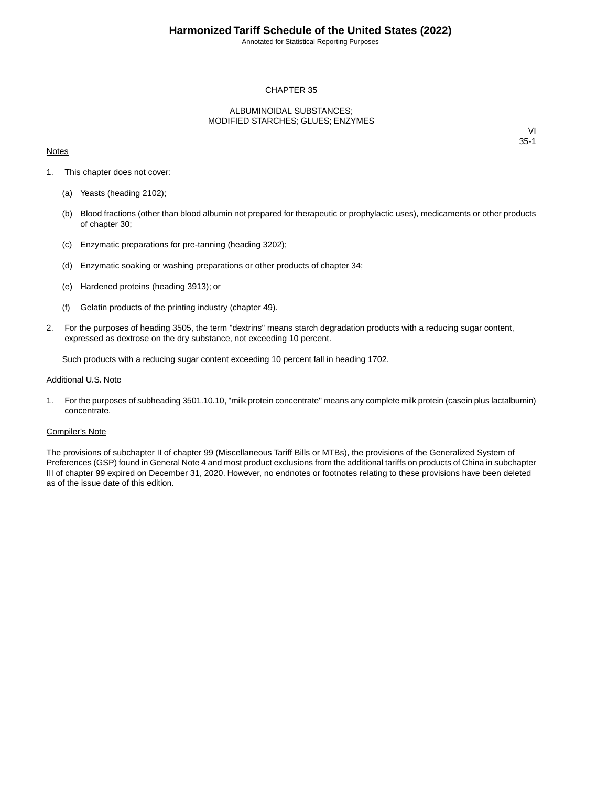Annotated for Statistical Reporting Purposes

## CHAPTER 35

## ALBUMINOIDAL SUBSTANCES; MODIFIED STARCHES; GLUES; ENZYMES

### **Notes**

VI 35-1

- 1. This chapter does not cover:
	- (a) Yeasts (heading 2102);
	- (b) Blood fractions (other than blood albumin not prepared for therapeutic or prophylactic uses), medicaments or other products of chapter 30;
	- (c) Enzymatic preparations for pre-tanning (heading 3202);
	- (d) Enzymatic soaking or washing preparations or other products of chapter 34;
	- (e) Hardened proteins (heading 3913); or
	- (f) Gelatin products of the printing industry (chapter 49).
- 2. For the purposes of heading 3505, the term "dextrins" means starch degradation products with a reducing sugar content, expressed as dextrose on the dry substance, not exceeding 10 percent.

Such products with a reducing sugar content exceeding 10 percent fall in heading 1702.

#### Additional U.S. Note

1. For the purposes of subheading 3501.10.10, "milk protein concentrate" means any complete milk protein (casein plus lactalbumin) concentrate.

#### Compiler's Note

The provisions of subchapter II of chapter 99 (Miscellaneous Tariff Bills or MTBs), the provisions of the Generalized System of Preferences (GSP) found in General Note 4 and most product exclusions from the additional tariffs on products of China in subchapter III of chapter 99 expired on December 31, 2020. However, no endnotes or footnotes relating to these provisions have been deleted as of the issue date of this edition.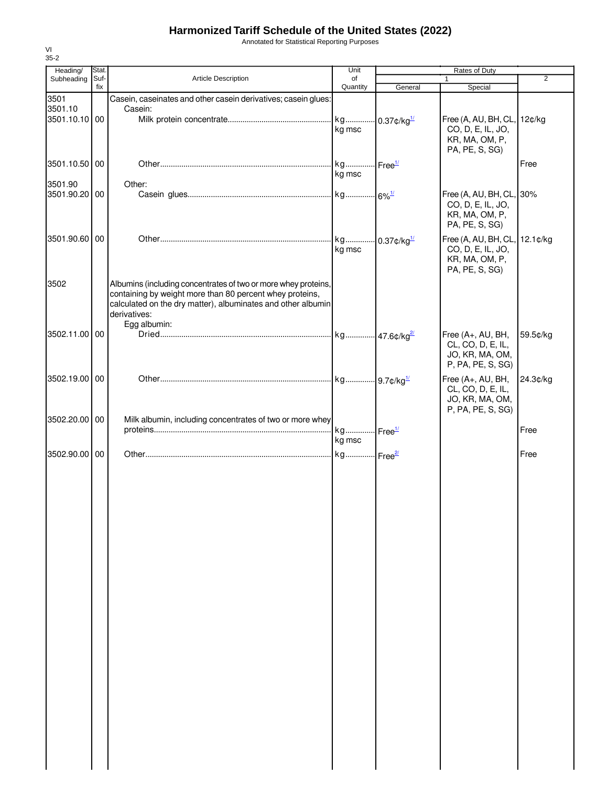## **Harmonized Tariff Schedule of the United States (2022)**

Annotated for Statistical Reporting Purposes

| Heading/                 | Stat.       |                                                                                                                                                                                                                            | Unit                            | Rates of Duty |                                                                                        |                |
|--------------------------|-------------|----------------------------------------------------------------------------------------------------------------------------------------------------------------------------------------------------------------------------|---------------------------------|---------------|----------------------------------------------------------------------------------------|----------------|
| Subheading               | Suf-<br>fix | Article Description                                                                                                                                                                                                        | of<br>Quantity                  | General       | $\mathbf{1}$<br>Special                                                                | $\overline{2}$ |
| 3501                     |             | Casein, caseinates and other casein derivatives; casein glues:                                                                                                                                                             |                                 |               |                                                                                        |                |
| 3501.10                  |             | Casein:                                                                                                                                                                                                                    |                                 |               |                                                                                        |                |
| 3501.10.10 00            |             |                                                                                                                                                                                                                            | kg msc                          |               | Free (A, AU, BH, CL,<br>CO, D, E, IL, JO,<br>KR, MA, OM, P,<br>PA, PE, S, SG)          | 12¢/kg         |
| 3501.10.50 00<br>3501.90 |             | Other:                                                                                                                                                                                                                     | kg msc                          |               |                                                                                        | Free           |
| 3501.90.20 00            |             |                                                                                                                                                                                                                            |                                 |               | Free (A, AU, BH, CL, 30%<br>CO, D, E, IL, JO,<br>KR, MA, OM, P,<br>PA, PE, S, SG)      |                |
| 3501.90.60 00            |             |                                                                                                                                                                                                                            | kg msc                          |               | Free (A, AU, BH, CL, 12.1¢/kg<br>CO, D, E, IL, JO,<br>KR, MA, OM, P,<br>PA, PE, S, SG) |                |
| 3502                     |             | Albumins (including concentrates of two or more whey proteins,<br>containing by weight more than 80 percent whey proteins,<br>calculated on the dry matter), albuminates and other albumin<br>derivatives:<br>Egg albumin: |                                 |               |                                                                                        |                |
| 3502.11.00 00            |             |                                                                                                                                                                                                                            |                                 |               | Free (A+, AU, BH,<br>CL, CO, D, E, IL,<br>JO, KR, MA, OM,<br>P, PA, PE, S, SG)         | 59.5¢/kg       |
| 3502.19.00 00            |             |                                                                                                                                                                                                                            |                                 |               | Free (A+, AU, BH,<br>CL, CO, D, E, IL,<br>JO, KR, MA, OM,<br>P, PA, PE, S, SG)         | 24.3¢/kg       |
| 3502.20.00 00            |             | Milk albumin, including concentrates of two or more whey                                                                                                                                                                   | kg Free <sup>1/</sup><br>kg msc |               |                                                                                        | Free           |
| 3502.90.00 00            |             |                                                                                                                                                                                                                            |                                 |               |                                                                                        | Free           |
|                          |             |                                                                                                                                                                                                                            |                                 |               |                                                                                        |                |

VI 35-2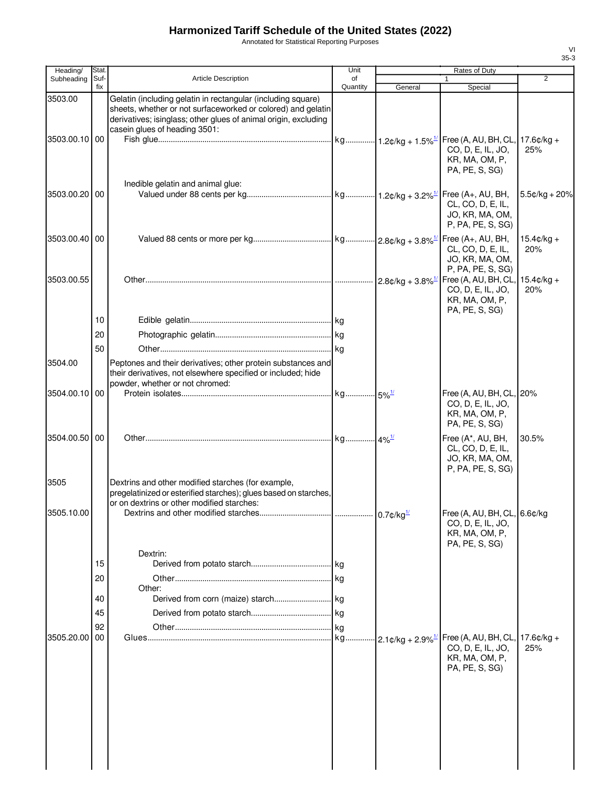## **Harmonized Tariff Schedule of the United States (2022)**

Annotated for Statistical Reporting Purposes

| Heading/      | Stat.       |                                                                                                                                                                                                                                  | Unit           |                                      | Rates of Duty                                                                            |                      |  |
|---------------|-------------|----------------------------------------------------------------------------------------------------------------------------------------------------------------------------------------------------------------------------------|----------------|--------------------------------------|------------------------------------------------------------------------------------------|----------------------|--|
| Subheading    | Suf-<br>fix | Article Description                                                                                                                                                                                                              | of<br>Quantity | General                              | 1<br>Special                                                                             | $\overline{2}$       |  |
| 3503.00       |             | Gelatin (including gelatin in rectangular (including square)<br>sheets, whether or not surfaceworked or colored) and gelatin<br>derivatives; isinglass; other glues of animal origin, excluding<br>casein glues of heading 3501: |                |                                      |                                                                                          |                      |  |
| 3503.00.10 00 |             | Inedible gelatin and animal glue:                                                                                                                                                                                                |                |                                      | Free (A, AU, BH, CL, 17.6¢/kg +<br>CO, D, E, IL, JO,<br>KR, MA, OM, P,<br>PA, PE, S, SG) | 25%                  |  |
| 3503.00.20 00 |             |                                                                                                                                                                                                                                  |                |                                      | Free (A+, AU, BH,<br>CL, CO, D, E, IL,<br>JO, KR, MA, OM,<br>P, PA, PE, S, SG)           | $5.5¢/kg + 20%$      |  |
| 3503.00.40 00 |             |                                                                                                                                                                                                                                  |                |                                      | Free (A+, AU, BH,<br>CL, CO, D, E, IL,<br>JO, KR, MA, OM,<br>P, PA, PE, S, SG)           | $15.4¢/kg +$<br>20%  |  |
| 3503.00.55    |             |                                                                                                                                                                                                                                  |                |                                      | Free (A, AU, BH, CL,<br>CO, D, E, IL, JO,<br>KR, MA, OM, P,<br>PA, PE, S, SG)            | $15.4$ ¢/kg +<br>20% |  |
|               | 10          |                                                                                                                                                                                                                                  |                |                                      |                                                                                          |                      |  |
|               | 20          |                                                                                                                                                                                                                                  |                |                                      |                                                                                          |                      |  |
|               | 50          |                                                                                                                                                                                                                                  |                |                                      |                                                                                          |                      |  |
| 3504.00       |             | Peptones and their derivatives; other protein substances and<br>their derivatives, not elsewhere specified or included; hide<br>powder, whether or not chromed:                                                                  |                |                                      |                                                                                          |                      |  |
| 3504.00.10 00 |             |                                                                                                                                                                                                                                  |                |                                      | Free (A, AU, BH, CL, 20%<br>CO, D, E, IL, JO,<br>KR, MA, OM, P,<br>PA, PE, S, SG)        |                      |  |
| 3504.00.50 00 |             |                                                                                                                                                                                                                                  |                |                                      | Free (A*, AU, BH,<br>CL, CO, D, E, IL,<br>JO, KR, MA, OM,<br>P, PA, PE, S, SG)           | 30.5%                |  |
| 3505          |             | Dextrins and other modified starches (for example,<br>pregelatinized or esterified starches); glues based on starches,<br>or on dextrins or other modified starches:                                                             |                |                                      |                                                                                          |                      |  |
| 3505.10.00    |             |                                                                                                                                                                                                                                  |                |                                      | Free (A, AU, BH, CL, 6.6¢/kg<br>CO, D, E, IL, JO,<br>KR, MA, OM, P,<br>PA, PE, S, SG)    |                      |  |
|               | 15          | Dextrin:                                                                                                                                                                                                                         |                |                                      |                                                                                          |                      |  |
|               | 20          |                                                                                                                                                                                                                                  |                |                                      |                                                                                          |                      |  |
|               |             | Other:                                                                                                                                                                                                                           |                |                                      |                                                                                          |                      |  |
|               | 40          |                                                                                                                                                                                                                                  |                |                                      |                                                                                          |                      |  |
|               | 45          |                                                                                                                                                                                                                                  |                |                                      |                                                                                          |                      |  |
|               | 92          |                                                                                                                                                                                                                                  |                |                                      |                                                                                          |                      |  |
| 3505.20.00    | 00          |                                                                                                                                                                                                                                  |                | $\cdot$ 2.1¢/kg + 2.9% $\frac{1}{2}$ | Free (A, AU, BH, CL,<br>CO, D, E, IL, JO,<br>KR, MA, OM, P,                              | $17.6$ ¢/kg +<br>25% |  |
|               |             |                                                                                                                                                                                                                                  |                |                                      | PA, PE, S, SG)                                                                           |                      |  |

VI 35-3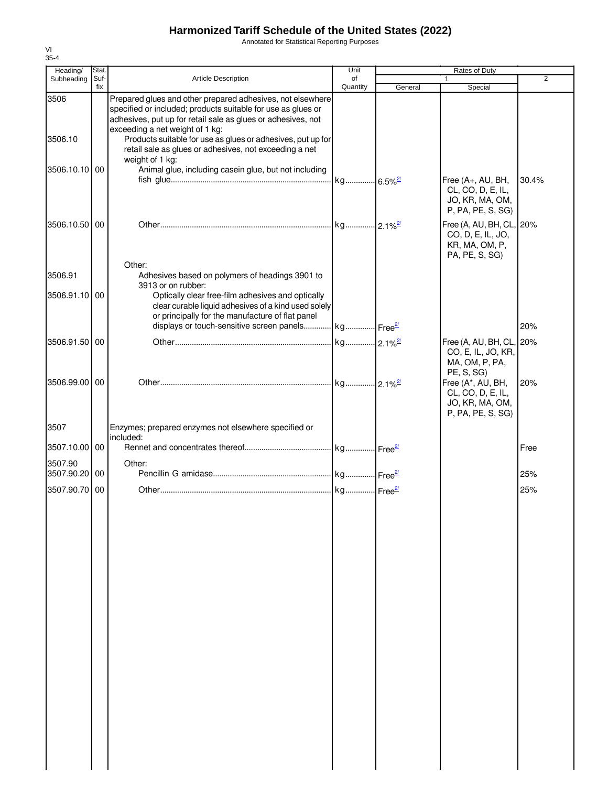# **Harmonized Tariff Schedule of the United States (2022)**

Annotated for Statistical Reporting Purposes

| Heading/                 | Stat.       |                                                                                                                                                                                                                               | Unit                  | Rates of Duty<br>$\overline{2}$ |                                                                                              |       |
|--------------------------|-------------|-------------------------------------------------------------------------------------------------------------------------------------------------------------------------------------------------------------------------------|-----------------------|---------------------------------|----------------------------------------------------------------------------------------------|-------|
| Subheading               | Suf-<br>fix | Article Description                                                                                                                                                                                                           | of<br>Quantity        | General                         | Special                                                                                      |       |
| 3506                     |             | Prepared glues and other prepared adhesives, not elsewhere<br>specified or included; products suitable for use as glues or<br>adhesives, put up for retail sale as glues or adhesives, not<br>exceeding a net weight of 1 kg: |                       |                                 |                                                                                              |       |
| 3506.10                  |             | Products suitable for use as glues or adhesives, put up for<br>retail sale as glues or adhesives, not exceeding a net<br>weight of 1 kg:                                                                                      |                       |                                 |                                                                                              |       |
| 3506.10.10 00            |             | Animal glue, including casein glue, but not including                                                                                                                                                                         |                       |                                 |                                                                                              |       |
|                          |             |                                                                                                                                                                                                                               | kg 6.5% <sup>27</sup> |                                 | Free (A+, AU, BH,<br>CL, CO, D, E, IL,<br>JO, KR, MA, OM,<br>P, PA, PE, S, SG)               | 30.4% |
| 3506.10.50 00            |             |                                                                                                                                                                                                                               |                       |                                 | Free (A, AU, BH, CL, 20%<br>CO, D, E, IL, JO,<br>KR, MA, OM, P,<br>PA, PE, S, SG)            |       |
| 3506.91                  |             | Other:<br>Adhesives based on polymers of headings 3901 to                                                                                                                                                                     |                       |                                 |                                                                                              |       |
|                          |             | 3913 or on rubber:                                                                                                                                                                                                            |                       |                                 |                                                                                              |       |
| 3506.91.10 00            |             | Optically clear free-film adhesives and optically<br>clear curable liquid adhesives of a kind used solely<br>or principally for the manufacture of flat panel                                                                 |                       |                                 |                                                                                              |       |
|                          |             | displays or touch-sensitive screen panels kg Free <sup>21</sup>                                                                                                                                                               |                       |                                 |                                                                                              | 20%   |
| 3506.91.50 00            |             |                                                                                                                                                                                                                               |                       |                                 | Free (A, AU, BH, CL, 20%<br>CO, E, IL, JO, KR,<br>MA, OM, P, PA,                             |       |
| 3506.99.00 00            |             |                                                                                                                                                                                                                               |                       |                                 | PE, S, SG)<br>Free (A*, AU, BH,<br>CL, CO, D, E, IL,<br>JO, KR, MA, OM,<br>P, PA, PE, S, SG) | 20%   |
| 3507                     |             | Enzymes; prepared enzymes not elsewhere specified or                                                                                                                                                                          |                       |                                 |                                                                                              |       |
|                          |             | included:                                                                                                                                                                                                                     |                       |                                 |                                                                                              |       |
| 3507.10.00 00<br>3507.90 |             | Other:                                                                                                                                                                                                                        |                       |                                 |                                                                                              | Free  |
| 3507.90.20               | 00          |                                                                                                                                                                                                                               |                       |                                 |                                                                                              | 25%   |
| 3507.90.70 00            |             |                                                                                                                                                                                                                               |                       |                                 |                                                                                              | 25%   |
|                          |             |                                                                                                                                                                                                                               |                       |                                 |                                                                                              |       |

VI 35-4